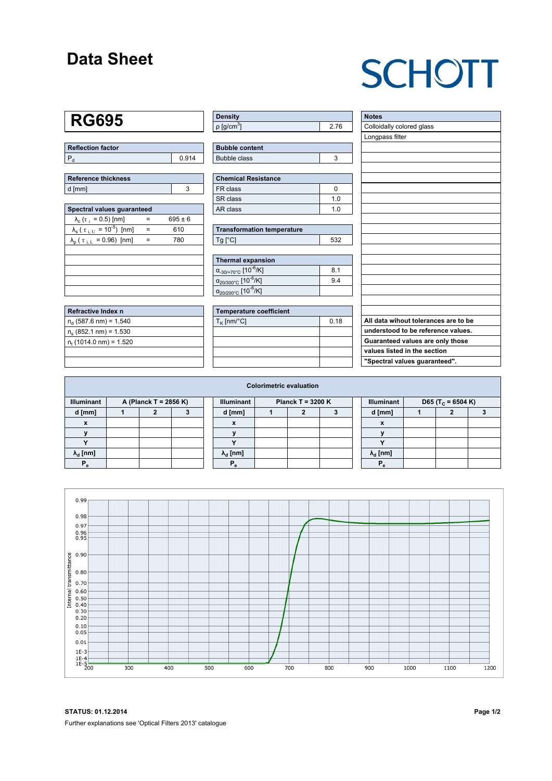### **Data Sheet**

# **SCHOTT**

### **RG695**

| Reflection factor |       |  |  |  |  |
|-------------------|-------|--|--|--|--|
|                   | 0.914 |  |  |  |  |

| Reference thickness |  |  |  |  |  |  |
|---------------------|--|--|--|--|--|--|
| d [mm]              |  |  |  |  |  |  |

| Spectral values quaranteed                                      |     |             |  |  |  |  |  |  |  |
|-----------------------------------------------------------------|-----|-------------|--|--|--|--|--|--|--|
| $\lambda_c$ ( $\tau_i$ = 0.5) [nm]                              |     | $695 \pm 6$ |  |  |  |  |  |  |  |
| $\lambda_{\rm s}$ ( $\tau_{\rm i, U}$ = 10 <sup>-5</sup> ) [nm] | $=$ | 610         |  |  |  |  |  |  |  |
| $\lambda_{\rm p}$ ( $\tau_{\rm i, L}$ = 0.96) [nm]              |     | 780         |  |  |  |  |  |  |  |
|                                                                 |     |             |  |  |  |  |  |  |  |
|                                                                 |     |             |  |  |  |  |  |  |  |
|                                                                 |     |             |  |  |  |  |  |  |  |
|                                                                 |     |             |  |  |  |  |  |  |  |
|                                                                 |     |             |  |  |  |  |  |  |  |

| Refractive Index n        |  |
|---------------------------|--|
| $n_d$ (587.6 nm) = 1.540  |  |
| $n_e$ (852.1 nm) = 1.530  |  |
| $n_t$ (1014.0 nm) = 1.520 |  |
|                           |  |

| <b>Density</b>            |    |
|---------------------------|----|
| $\rho$ [g/cm <sup>3</sup> | 76 |

| <b>Bubble content</b> |  |
|-----------------------|--|
| Bubble class          |  |

| <b>Chemical Resistance</b> |     |  |  |  |  |
|----------------------------|-----|--|--|--|--|
| FR class                   |     |  |  |  |  |
| SR class                   | 1 N |  |  |  |  |
| AR class                   | 1 በ |  |  |  |  |

| <b>Transformation temperature</b> |     |  |  |  |  |  |
|-----------------------------------|-----|--|--|--|--|--|
| $Tg$ [ $^{\circ}$ C]              | 532 |  |  |  |  |  |

| Thermal expansion                                 |     |
|---------------------------------------------------|-----|
| $\alpha_{-30/+70^{\circ}C}$ [10 <sup>-6</sup> /K] | 8.1 |
| $\alpha_{20/300^{\circ}C}$ [10 <sup>-6</sup> /K]  | 9.4 |
| $\alpha_{20/200^{\circ}C}$ [10 <sup>-6</sup> /K]  |     |

| Temperature coefficient |      |  |  |  |  |  |
|-------------------------|------|--|--|--|--|--|
| $T_{\rm K}$ [nm/°C]     | 0.18 |  |  |  |  |  |
|                         |      |  |  |  |  |  |
|                         |      |  |  |  |  |  |
|                         |      |  |  |  |  |  |
|                         |      |  |  |  |  |  |

| <b>Notes</b>                         |
|--------------------------------------|
| Colloidally colored glass            |
| Longpass filter                      |
|                                      |
|                                      |
|                                      |
|                                      |
|                                      |
|                                      |
|                                      |
|                                      |
|                                      |
|                                      |
|                                      |
|                                      |
|                                      |
|                                      |
|                                      |
|                                      |
|                                      |
| All data wihout tolerances are to be |
| understood to be reference values.   |
| Guaranteed values are only those     |
| values listed in the section         |
| "Spectral values guaranteed".        |

| <b>Colorimetric evaluation</b> |  |                       |  |  |                                          |  |  |  |  |                        |                               |  |  |
|--------------------------------|--|-----------------------|--|--|------------------------------------------|--|--|--|--|------------------------|-------------------------------|--|--|
| <b>Illuminant</b>              |  | A (Planck T = 2856 K) |  |  | <b>Illuminant</b><br>Planck T = $3200 K$ |  |  |  |  | <b>Illuminant</b>      | D65 (T <sub>c</sub> = 6504 K) |  |  |
| d [mm]                         |  |                       |  |  | d [mm]                                   |  |  |  |  | d [mm]                 |                               |  |  |
| X                              |  |                       |  |  | X                                        |  |  |  |  | $\boldsymbol{x}$       |                               |  |  |
|                                |  |                       |  |  |                                          |  |  |  |  |                        |                               |  |  |
|                                |  |                       |  |  |                                          |  |  |  |  | $\cdot$                |                               |  |  |
| $\lambda_{\rm d}$ [nm]         |  |                       |  |  | $\lambda_{\rm d}$ [nm]                   |  |  |  |  | $\lambda_{\rm d}$ [nm] |                               |  |  |
| Р,                             |  |                       |  |  | $P_{\alpha}$                             |  |  |  |  | P.                     |                               |  |  |